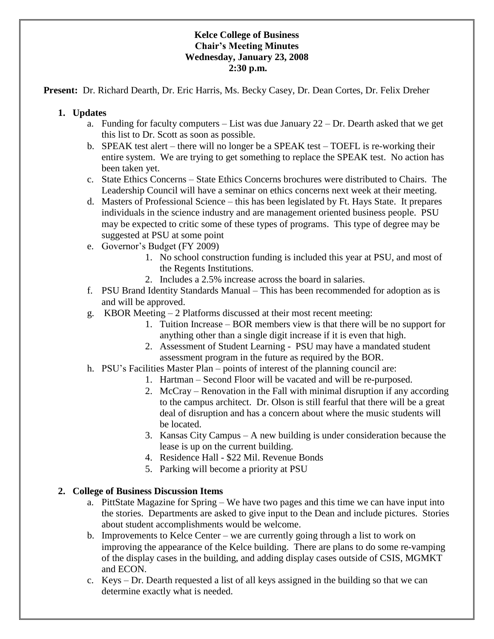## **Kelce College of Business Chair's Meeting Minutes Wednesday, January 23, 2008 2:30 p.m.**

**Present:** Dr. Richard Dearth, Dr. Eric Harris, Ms. Becky Casey, Dr. Dean Cortes, Dr. Felix Dreher

## **1. Updates**

- a. Funding for faculty computers List was due January 22 Dr. Dearth asked that we get this list to Dr. Scott as soon as possible.
- b. SPEAK test alert there will no longer be a SPEAK test TOEFL is re-working their entire system. We are trying to get something to replace the SPEAK test. No action has been taken yet.
- c. State Ethics Concerns State Ethics Concerns brochures were distributed to Chairs. The Leadership Council will have a seminar on ethics concerns next week at their meeting.
- d. Masters of Professional Science this has been legislated by Ft. Hays State. It prepares individuals in the science industry and are management oriented business people. PSU may be expected to critic some of these types of programs. This type of degree may be suggested at PSU at some point
- e. Governor's Budget (FY 2009)
	- 1. No school construction funding is included this year at PSU, and most of the Regents Institutions.
	- 2. Includes a 2.5% increase across the board in salaries.
- f. PSU Brand Identity Standards Manual This has been recommended for adoption as is and will be approved.
- g. KBOR Meeting 2 Platforms discussed at their most recent meeting:
	- 1. Tuition Increase BOR members view is that there will be no support for anything other than a single digit increase if it is even that high.
	- 2. Assessment of Student Learning PSU may have a mandated student assessment program in the future as required by the BOR.
- h. PSU's Facilities Master Plan points of interest of the planning council are:
	- 1. Hartman Second Floor will be vacated and will be re-purposed.
	- 2. McCray Renovation in the Fall with minimal disruption if any according to the campus architect. Dr. Olson is still fearful that there will be a great deal of disruption and has a concern about where the music students will be located.
	- 3. Kansas City Campus A new building is under consideration because the lease is up on the current building.
	- 4. Residence Hall \$22 Mil. Revenue Bonds
	- 5. Parking will become a priority at PSU

## **2. College of Business Discussion Items**

- a. PittState Magazine for Spring We have two pages and this time we can have input into the stories. Departments are asked to give input to the Dean and include pictures. Stories about student accomplishments would be welcome.
- b. Improvements to Kelce Center we are currently going through a list to work on improving the appearance of the Kelce building. There are plans to do some re-vamping of the display cases in the building, and adding display cases outside of CSIS, MGMKT and ECON.
- c. Keys Dr. Dearth requested a list of all keys assigned in the building so that we can determine exactly what is needed.